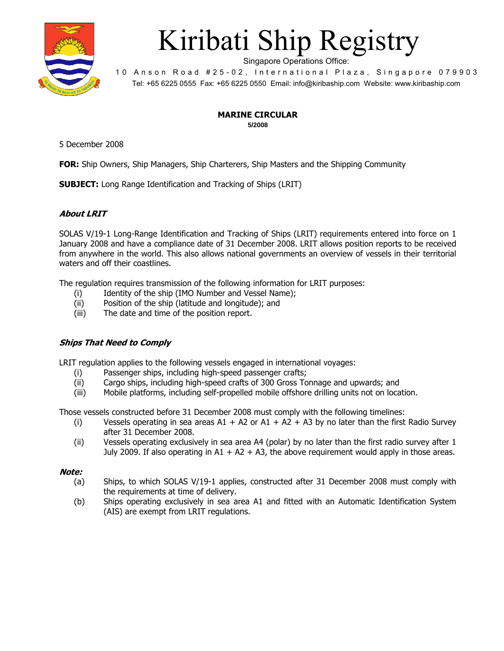

# Kiribati Ship Registry

Singapore Operations Office:

10 Anson Road #25-02, International Plaza, Singapore 079903 Tel: +65 6225 0555 Fax: +65 6225 0550 Email: info@kiribaship.com Website: www.kiribaship.com

#### MARINE CIRCULAR **5/2008**

5 December 2008

**FOR:** Ship Owners, Ship Managers, Ship Charterers, Ship Masters and the Shipping Community

SUBJECT: Long Range Identification and Tracking of Ships (LRIT)

# About LRIT

SOLAS V/19-1 Long-Range Identification and Tracking of Ships (LRIT) requirements entered into force on 1 January 2008 and have a compliance date of 31 December 2008. LRIT allows position reports to be received from anywhere in the world. This also allows national governments an overview of vessels in their territorial waters and off their coastlines.

The regulation requires transmission of the following information for LRIT purposes:

- (i) Identity of the ship (IMO Number and Vessel Name);
- (ii) Position of the ship (latitude and longitude); and
- (iii) The date and time of the position report.

# Ships That Need to Comply

LRIT regulation applies to the following vessels engaged in international voyages:

- (i) Passenger ships, including high-speed passenger crafts;
- (ii) Cargo ships, including high-speed crafts of 300 Gross Tonnage and upwards; and
- (iii) Mobile platforms, including self-propelled mobile offshore drilling units not on location.

Those vessels constructed before 31 December 2008 must comply with the following timelines:

- (i) Vessels operating in sea areas  $A1 + A2$  or  $A1 + A2 + A3$  by no later than the first Radio Survey after 31 December 2008.
- (ii) Vessels operating exclusively in sea area A4 (polar) by no later than the first radio survey after 1 July 2009. If also operating in  $A1 + A2 + A3$ , the above requirement would apply in those areas.

#### Note:

- (a) Ships, to which SOLAS V/19-1 applies, constructed after 31 December 2008 must comply with the requirements at time of delivery.
- (b) Ships operating exclusively in sea area A1 and fitted with an Automatic Identification System (AIS) are exempt from LRIT regulations.